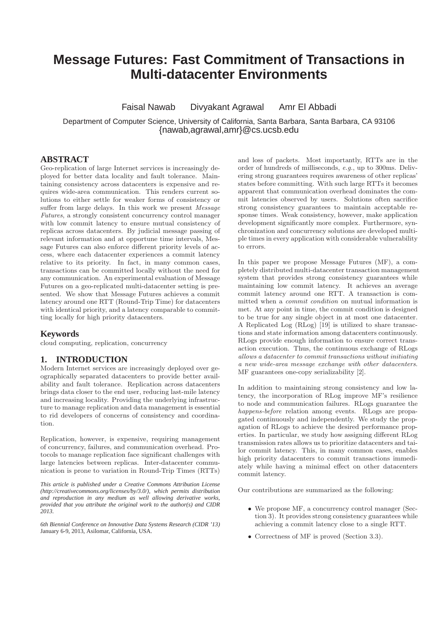# **Message Futures: Fast Commitment of Transactions in Multi-datacenter Environments**

Faisal Nawab Divyakant Agrawal Amr El Abbadi

Department of Computer Science, University of California, Santa Barbara, Santa Barbara, CA 93106 {nawab,agrawal,amr}@cs.ucsb.edu

# **ABSTRACT**

Geo-replication of large Internet services is increasingly deployed for better data locality and fault tolerance. Maintaining consistency across datacenters is expensive and requires wide-area communication. This renders current solutions to either settle for weaker forms of consistency or suffer from large delays. In this work we present *Message Futures*, a strongly consistent concurrency control manager with low commit latency to ensure mutual consistency of replicas across datacenters. By judicial message passing of relevant information and at opportune time intervals, Message Futures can also enforce different priority levels of access, where each datacenter experiences a commit latency relative to its priority. In fact, in many common cases, transactions can be committed locally without the need for any communication. An experimental evaluation of Message Futures on a geo-replicated multi-datacenter setting is presented. We show that Message Futures achieves a commit latency around one RTT (Round-Trip Time) for datacenters with identical priority, and a latency comparable to committing locally for high priority datacenters.

## **Keywords**

cloud computing, replication, concurrency

## **1. INTRODUCTION**

Modern Internet services are increasingly deployed over geographically separated datacenters to provide better availability and fault tolerance. Replication across datacenters brings data closer to the end user, reducing last-mile latency and increasing locality. Providing the underlying infrastructure to manage replication and data management is essential to rid developers of concerns of consistency and coordination.

Replication, however, is expensive, requiring management of concurrency, failures, and communication overhead. Protocols to manage replication face significant challenges with large latencies between replicas. Inter-datacenter communication is prone to variation in Round-Trip Times (RTTs)

*This article is published under a Creative Commons Attribution License (http://creativecommons.org/licenses/by/3.0/), which permits distribution and reproduction in any medium as well allowing derivative works, provided that you attribute the original work to the author(s) and CIDR 2013.*

*6th Biennial Conference on Innovative Data Systems Research (CIDR '13)* January 6-9, 2013, Asilomar, California, USA.

and loss of packets. Most importantly, RTTs are in the order of hundreds of milliseconds, *e.g.*, up to 300ms. Delivering strong guarantees requires awareness of other replicas' states before committing. With such large RTTs it becomes apparent that communication overhead dominates the commit latencies observed by users. Solutions often sacrifice strong consistency guarantees to maintain acceptable response times. Weak consistency, however, make application development significantly more complex. Furthermore, synchronization and concurrency solutions are developed multiple times in every application with considerable vulnerability to errors.

In this paper we propose Message Futures (MF), a completely distributed multi-datacenter transaction management system that provides strong consistency guarantees while maintaining low commit latency. It achieves an average commit latency around one RTT. A transaction is committed when a *commit condition* on mutual information is met. At any point in time, the commit condition is designed to be true for any single object in at most one datacenter. A Replicated Log (RLog) [19] is utilized to share transactions and state information among datacenters continuously. RLogs provide enough information to ensure correct transaction execution. Thus, the continuous exchange of RLogs *allows a datacenter to commit transactions without initiating a new wide-area message exchange with other datacenters*. MF guarantees one-copy serializability [2].

In addition to maintaining strong consistency and low latency, the incorporation of RLog improve MF's resilience to node and communication failures. RLogs guarantee the *happens-before* relation among events. RLogs are propagated continuously and independently. We study the propagation of RLogs to achieve the desired performance properties. In particular, we study how assigning different RLog transmission rates allows us to prioritize datacenters and tailor commit latency. This, in many common cases, enables high priority datacenters to commit transactions immediately while having a minimal effect on other datacenters commit latency.

Our contributions are summarized as the following:

- We propose MF, a concurrency control manager (Section 3). It provides strong consistency guarantees while achieving a commit latency close to a single RTT.
- Correctness of MF is proved (Section 3.3).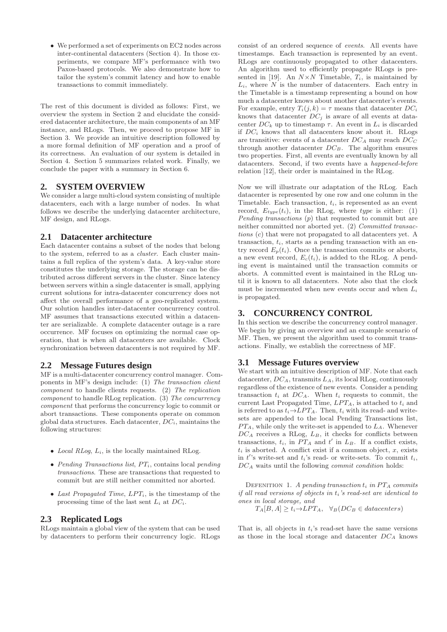• We performed a set of experiments on EC2 nodes across inter-continental datacenters (Section 4). In those experiments, we compare MF's performance with two Paxos-based protocols. We also demonstrate how to tailor the system's commit latency and how to enable transactions to commit immediately.

The rest of this document is divided as follows: First, we overview the system in Section 2 and elucidate the considered datacenter architecture, the main components of an MF instance, and RLogs. Then, we proceed to propose MF in Section 3. We provide an intuitive description followed by a more formal definition of MF operation and a proof of its correctness. An evaluation of our system is detailed in Section 4. Section 5 summarizes related work. Finally, we conclude the paper with a summary in Section 6.

## **2. SYSTEM OVERVIEW**

We consider a large multi-cloud system consisting of multiple datacenters, each with a large number of nodes. In what follows we describe the underlying datacenter architecture, MF design, and RLogs.

#### **2.1 Datacenter architecture**

Each datacenter contains a subset of the nodes that belong to the system, referred to as a *cluster*. Each cluster maintains a full replica of the system's data. A key-value store constitutes the underlying storage. The storage can be distributed across different servers in the cluster. Since latency between servers within a single datacenter is small, applying current solutions for intra-datacenter concurrency does not affect the overall performance of a geo-replicated system. Our solution handles inter-datacenter concurrency control. MF assumes that transactions executed within a datacenter are serializable. A complete datacenter outage is a rare occurrence. MF focuses on optimizing the normal case operation, that is when all datacenters are available. Clock synchronization between datacenters is not required by MF.

#### **2.2 Message Futures design**

MF is a multi-datacenter concurrency control manager. Components in MF's design include: (1) *The transaction client component* to handle clients requests. (2) *The replication component* to handle RLog replication. (3) *The concurrency component* that performs the concurrency logic to commit or abort transactions. These components operate on common global data structures. Each datacenter,  $DC_i$ , maintains the following structures:

- *Local RLog*,  $L_i$ , is the locally maintained RLog.
- *Pending Transactions list*,  $PT_i$ , contains local *pending transactions*. These are transactions that requested to commit but are still neither committed nor aborted.
- Last Propagated Time,  $LPT_i$ , is the timestamp of the processing time of the last sent  $L_i$  at  $DC_i$ .

## **2.3 Replicated Logs**

RLogs maintain a global view of the system that can be used by datacenters to perform their concurrency logic. RLogs

consist of an ordered sequence of *events*. All events have timestamps. Each transaction is represented by an event. RLogs are continuously propagated to other datacenters. An algorithm used to efficiently propagate RLogs is presented in [19]. An  $N \times N$  Timetable,  $T_i$ , is maintained by  $L_i$ , where  $N$  is the number of datacenters. Each entry in the Timetable is a timestamp representing a bound on how much a datacenter knows about another datacenter's events. For example, entry  $T_i(j,k) = \tau$  means that datacenter  $DC_i$ knows that datacenter  $DC_i$  is aware of all events at datacenter  $DC_k$  up to timestamp  $\tau$ . An event in  $L_i$  is discarded if  $DC_i$  knows that all datacenters know about it. RLogs are transitive: events of a datacenter  $DC_A$  may reach  $DC_C$ through another datacenter  $DC_B$ . The algorithm ensures two properties. First, all events are eventually known by all datacenters. Second, if two events have a *happened-before* relation [12], their order is maintained in the RLog.

Now we will illustrate our adaptation of the RLog. Each datacenter is represented by one row and one column in the Timetable. Each transaction,  $t_i$ , is represented as an event record,  $E_{true}(t_i)$ , in the RLog, where type is either: (1) *Pending transactions* (p) that requested to commit but are neither committed nor aborted yet. (2) *Committed transactions* (c) that were not propagated to all datacenters yet. A transaction,  $t_i$ , starts as a pending transaction with an entry record  $E_p(t_i)$ . Once the transaction commits or aborts, a new event record,  $E_c(t_i)$ , is added to the RLog. A pending event is maintained until the transaction commits or aborts. A committed event is maintained in the RLog until it is known to all datacenters. Note also that the clock must be incremented when new events occur and when  $L_i$ is propagated.

# **3. CONCURRENCY CONTROL**

In this section we describe the concurrency control manager. We begin by giving an overview and an example scenario of MF. Then, we present the algorithm used to commit transactions. Finally, we establish the correctness of MF.

## **3.1 Message Futures overview**

We start with an intuitive description of MF. Note that each datacenter,  $DC_A$ , transmits  $L_A$ , its local RLog, continuously regardless of the existence of new events. Consider a pending transaction  $t_i$  at  $DC_A$ . When  $t_i$  requests to commit, the current Last Propagated Time,  $LPT_A$ , is attached to  $t_i$  and is referred to as  $t_i \rightarrow LPT_A$ . Then,  $t_i$  with its read- and writesets are appended to the local Pending Transactions list,  $PT_A$ , while only the write-set is appended to  $L_A$ . Whenever  ${\cal D} C_A$  receives a RLog,  $L_B,$  it checks for conflicts between transactions,  $t_i$ , in  $PT_A$  and  $t'$  in  $L_B$ . If a conflict exists,  $t_i$  is aborted. A conflict exist if a common object,  $x$ , exists in  $t$ 's write-set and  $t_i$ 's read- or write-sets. To commit  $t_i$ , DC<sup>A</sup> waits until the following *commit condition* holds:

DEFENITION 1. *A pending transaction*  $t_i$  *in*  $PT_A$  *commits if all read versions of objects in* ti*'s read-set are identical to ones in local storage, and*

 $T_A[B, A] \geq t_i \rightarrow LPT_A$ ,  $\forall_B (DC_B \in data centers)$ 

That is, all objects in  $t_i$ 's read-set have the same versions as those in the local storage and datacenter  $DC_A$  knows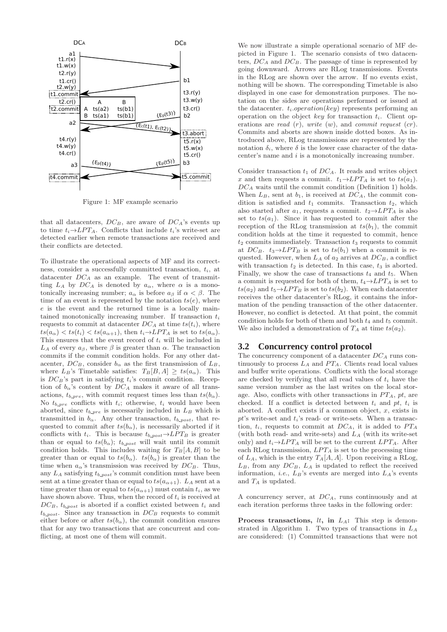

Figure 1: MF example scenario

that all datacenters,  $DC_B$ , are aware of  $DC_A$ 's events up to time  $t_i \rightarrow LPT_A$ . Conflicts that include  $t_i$ 's write-set are detected earlier when remote transactions are received and their conflicts are detected.

To illustrate the operational aspects of MF and its correctness, consider a successfully committed transaction,  $t_i$ , at datacenter  $DC_A$  as an example. The event of transmitting  $L_A$  by  $DC_A$  is denoted by  $a_{\alpha}$ , where  $\alpha$  is a monotonically increasing number;  $a_{\alpha}$  is before  $a_{\beta}$  if  $\alpha < \beta$ . The time of an event is represented by the notation  $ts(e)$ , where e is the event and the returned time is a locally maintained monotonically increasing number. If transaction  $t_i$ requests to commit at datacenter  $DC_A$  at time  $ts(t_i)$ , where  $ts(a_{\alpha}) < ts(t_i) < ts(a_{\alpha+1})$ , then  $t_i \rightarrow LPT_A$  is set to  $ts(a_{\alpha})$ . This ensures that the event record of  $t_i$  will be included in  $L_A$  of every  $a_\beta$ , where  $\beta$  is greater than  $\alpha$ . The transaction commits if the commit condition holds. For any other datacenter,  $DC_B$ , consider  $b_{\alpha}$  as the first transmission of  $L_B$ , where  $L_B$ 's Timetable satisfies:  $T_B[B, A] \geq ts(a_\alpha)$ . This is  $DC_B$ 's part in satisfying  $t_i$ 's commit condition. Reception of  $b_{\alpha}$ 's content by  $DC_A$  makes it aware of all transactions,  $t_{b\_pre}$ , with commit request times less than  $ts(b_\alpha)$ . No  $t_{b\_pre}$  conflicts with  $t_i$ ; otherwise,  $t_i$  would have been aborted, since  $t_{b\_pre}$  is necessarily included in  $L_B$  which is transmitted in  $b_{\alpha}$ . Any other transaction,  $t_{b\text{-}post}$ , that requested to commit after  $ts(b_\alpha)$ , is necessarily aborted if it conflicts with  $t_i$ . This is because  $t_{b\_post} \rightarrow LPT_B$  is greater than or equal to  $ts(b_\alpha)$ ;  $t_{b\text{-}post}$  will wait until its commit condition holds. This includes waiting for  $T_B[A, B]$  to be greater than or equal to  $ts(b_\alpha)$ .  $ts(b_\alpha)$  is greater than the time when  $a_{\alpha}$ 's transmission was received by  $DC_B$ . Thus, any  $L_A$  satisfying  $t_{b\text{-}post}$ 's commit condition must have been sent at a time greater than or equal to  $ts(a_{\alpha+1})$ .  $L_A$  sent at a time greater than or equal to  $ts(a_{\alpha+1})$  must contain  $t_i$ , as we have shown above. Thus, when the record of  $t_i$  is received at  $DC_B$ ,  $t_{b-post}$  is aborted if a conflict existed between  $t_i$  and  $t_{b-post}$ . Since any transaction in  $DC_B$  requests to commit either before or after  $ts(b_\alpha)$ , the commit condition ensures that for any two transactions that are concurrent and conflicting, at most one of them will commit.

We now illustrate a simple operational scenario of MF depicted in Figure 1. The scenario consists of two datacenters,  $DC_A$  and  $DC_B$ . The passage of time is represented by going downward. Arrows are RLog transmissions. Events in the RLog are shown over the arrow. If no events exist, nothing will be shown. The corresponding Timetable is also displayed in one case for demonstration purposes. The notation on the sides are operations performed or issued at the datacenter.  $t_i\no$ operation on the object key for transaction  $t_i$ . Client operations are *read* (r), *write* (w), and *commit request* (cr). Commits and aborts are shown inside dotted boxes. As introduced above, RLog transmissions are represented by the notation  $\delta_i$ , where  $\delta$  is the lower case character of the datacenter's name and i is a monotonically increasing number.

Consider transaction  $t_1$  of  $DC_A$ . It reads and writes object x and then requests a commit.  $t_1\rightarrow LPT_A$  is set to  $ts(a_1)$ .  $DC_A$  waits until the commit condition (Definition 1) holds. When  $L_B$ , sent at  $b_1$ , is received at  $DC_A$ , the commit condition is satisfied and  $t_1$  commits. Transaction  $t_2$ , which also started after  $a_1$ , requests a commit.  $t_2 \rightarrow LPT_A$  is also set to  $ts(a_1)$ . Since it has requested to commit after the reception of the RLog transmission at  $ts(b_1)$ , the commit condition holds at the time it requested to commit, hence  $t_2$  commits immediately. Transaction  $t_3$  requests to commit at  $DC_B$ .  $t_3 \rightarrow LPT_B$  is set to  $ts(b_1)$  when a commit is requested. However, when  $L_A$  of  $a_2$  arrives at  $DC_B$ , a conflict with transaction  $t_2$  is detected. In this case,  $t_3$  is aborted. Finally, we show the case of transactions  $t_4$  and  $t_5$ . When a commit is requested for both of them,  $t_4 \rightarrow LPT_A$  is set to  $ts(a_2)$  and  $t_5 \rightarrow LPT_B$  is set to  $ts(b_2)$ . When each datacenter receives the other datacenter's RLog, it contains the information of the pending transaction of the other datacenter. However, no conflict is detected. At that point, the commit condition holds for both of them and both  $t_4$  and  $t_5$  commit. We also included a demonstration of  $T_A$  at time  $ts(a_2)$ .

## **3.2 Concurrency control protocol**

The concurrency component of a datacenter  $DC_A$  runs continuously to process  $L_A$  and  $PT_A$ . Clients read local values and buffer write operations. Conflicts with the local storage are checked by verifying that all read values of  $t_i$  have the same version number as the last writes on the local storage. Also, conflicts with other transactions in  $PT_A$ , pt, are checked. If a conflict is detected between  $t_i$  and  $pt$ ,  $t_i$  is aborted. A conflict exists if a common object,  $x$ , exists in  $pt$ 's write-set and  $t_i$ 's read- or write-sets. When a transaction,  $t_i$ , requests to commit at  $DC_A$ , it is added to  $PT_A$ (with both read- and write-sets) and  $L_A$  (with its write-set only) and  $t_i \rightarrow LPT_A$  will be set to the current  $LPT_A$ . After each RLog transmission,  $LPT_A$  is set to the processing time of  $L_A$ , which is the entry  $T_A[A, A]$ . Upon receiving a RLog,  $L_B$ , from any  $DC_B$ ,  $L_A$  is updated to reflect the received information, *i.e.*,  $L_B$ 's events are merged into  $L_A$ 's events and  $T_A$  is updated.

A concurrency server, at  $DC_A$ , runs continuously and at each iteration performs three tasks in the following order:

**Process transactions,**  $lt$ , in  $L_A$ : This step is demonstrated in Algorithm 1. Two types of transactions in  $L_A$ are considered: (1) Committed transactions that were not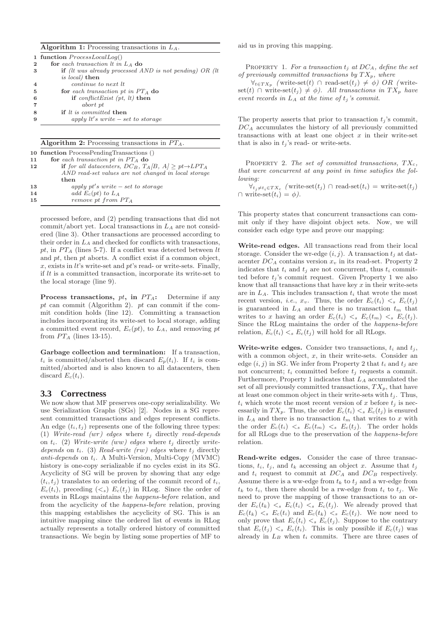#### Algorithm 1: Processing transactions in  $L_A$ .

|              | 1 function $ProcessLocalLog()$                                                  |
|--------------|---------------------------------------------------------------------------------|
| $\mathbf{2}$ | for each transaction $lt$ in $L_A$ do                                           |
| 3            | <b>if</b> ( <i>lt was already processed AND is not pending</i> ) OR ( <i>lt</i> |
|              | <i>is local</i> ) then                                                          |
| 4            | continue to next lt                                                             |
| 5            | for each transaction pt in $PT_A$ do                                            |
| 6            | if conflict Exist (pt, lt) then                                                 |
|              | abort pt                                                                        |
| 8            | <b>if</b> <i>lt is committed</i> <b>then</b>                                    |
| 9            | apply $lt's$ write $-$ set to storage                                           |
|              |                                                                                 |

Algorithm 2: Processing transactions in  $PT_A$ .

|    | 10 function ProcessPendingTransactions ()                                        |
|----|----------------------------------------------------------------------------------|
| 11 | for each transaction pt in $PT_A$ do                                             |
| 12 | if for all datacenters, DC <sub>B</sub> , $T_A/B$ , $A \ge pt \rightarrow LPT_A$ |
|    | AND read-set values are not changed in local storage                             |
|    | then                                                                             |
| 13 | apply pt's write $-$ set to storage                                              |
| 14 | add $E_c(pt)$ to $L_A$                                                           |
| 15 | remove pt from $PT_A$                                                            |
|    |                                                                                  |

processed before, and (2) pending transactions that did not commit/abort yet. Local transactions in  $L_A$  are not considered (line 3). Other transactions are processed according to their order in  $L_A$  and checked for conflicts with transactions, pt, in  $PT_A$  (lines 5-7). If a conflict was detected between lt and pt, then pt aborts. A conflict exist if a common object,  $x$ , exists in *lt*'s write-set and  $pt$ 's read- or write-sets. Finally, if  $lt$  is a committed transaction, incorporate its write-set to the local storage (line 9).

**Process transactions,** pt, in  $PT_A$ : Determine if any pt can commit (Algorithm 2). pt can commit if the commit condition holds (line 12). Committing a transaction includes incorporating its write-set to local storage, adding a committed event record,  $E_c(pt)$ , to  $L_A$ , and removing pt from  $PT_A$  (lines 13-15).

Garbage collection and termination: If a transaction,  $t_i$  is committed/aborted then discard  $E_p(t_i)$ . If  $t_i$  is committed/aborted and is also known to all datacenters, then discard  $E_c(t_i)$ .

#### **3.3 Correctness**

We now show that MF preserves one-copy serializability. We use Serialization Graphs (SGs) [2]. Nodes in a SG represent committed transactions and edges represent conflicts. An edge  $(t_i, t_j)$  represents one of the following three types: (1) *Write-read (wr) edges* where  $t_i$  directly *read-depends* on  $t_i$ . (2) *Write-write (ww) edges* where  $t_j$  directly *writedepends* on  $t_i$ . (3) *Read-write (rw) edges* where  $t_j$  directly *anti-depends* on t<sub>i</sub>. A Multi-Version, Multi-Copy (MVMC) history is one-copy serializable if no cycles exist in its SG. Acyclicity of SG will be proven by showing that any edge  $(t_i, t_j)$  translates to an ordering of the commit record of  $t_i$ ,  $E_c(t_i)$ , preceding  $(<sub>s</sub>)$   $E_c(t_j)$  in RLog. Since the order of events in RLogs maintains the *happens-before* relation, and from the acyclicity of the *happens-before* relation, proving this mapping establishes the acyclicity of SG. This is an intuitive mapping since the ordered list of events in RLog actually represents a totally ordered history of committed transactions. We begin by listing some properties of MF to aid us in proving this mapping.

PROPERTY 1. For a transaction  $t_i$  at  $DC_A$ , define the set *of previously committed transactions by*  $TX_p$ *, where* 

 $\forall_{t \in TX_p}$  (write-set(t) ∩ read-set(t<sub>j</sub>) ≠  $\phi$ ) OR (writeset(*t*) ∩ write-set(*t<sub>j</sub>*)  $\neq$   $\phi$ ). All transactions in TX<sub>p</sub> have *event records in*  $L_A$  *at the time of*  $t_j$  *'s commit.* 

The property asserts that prior to transaction  $t_i$ 's commit,  $DC_A$  accumulates the history of all previously committed transactions with at least one object  $x$  in their write-set that is also in  $t_i$ 's read- or write-sets.

PROPERTY 2. The set of committed transactions,  $TX_c$ , *that were concurrent at any point in time satisfies the following:*

 $\forall_{t_j \neq t_i \in TX_c}$  (write-set( $t_j$ ) ∩ read-set( $t_i$ ) = write-set( $t_j$ )  $\cap$  write-set $(t_i) = \phi$ ).

This property states that concurrent transactions can commit only if they have disjoint object sets. Now, we will consider each edge type and prove our mapping:

Write-read edges. All transactions read from their local storage. Consider the wr-edge  $(i, j)$ . A transaction  $t_i$  at datacenter  $DC_A$  contains version  $x<sub>v</sub>$  in its read-set. Property 2 indicates that  $t_i$  and  $t_j$  are not concurrent, thus  $t_i$  committed before  $t_i$ 's commit request. Given Property 1 we also know that all transactions that have key  $x$  in their write-sets are in  $L_A$ . This includes transaction  $t_i$  that wrote the most recent version, *i.e.*,  $x_v$ . Thus, the order  $E_c(t_i) \leq s E_c(t_i)$ is guaranteed in  $L_A$  and there is no transaction  $t_m$  that writes to x having an order  $E_c(t_i) \leq s \ E_c(t_m) \leq s \ E_c(t_j)$ . Since the RLog maintains the order of the *happens-before* relation,  $E_c(t_i) <_{s} E_c(t_j)$  will hold for all RLogs.

Write-write edges. Consider two transactions,  $t_i$  and  $t_j$ , with a common object,  $x$ , in their write-sets. Consider an edge  $(i, j)$  in SG. We infer from Property 2 that  $t_i$  and  $t_j$  are not concurrent;  $t_i$  committed before  $t_j$  requests a commit. Furthermore, Property 1 indicates that  $L_A$  accumulated the set of all previously committed transactions,  $TX_p$ , that have at least one common object in their write-sets with  $t_j$ . Thus,  $t_i$  which wrote the most recent version of x before  $t_j$  is necessarily in  $TX_p$ . Thus, the order  $E_c(t_i) <_{s} E_c(t_j)$  is ensured in  $L_A$  and there is no transaction  $t_m$  that writes to x with the order  $E_c(t_i) \leq s \ E_c(t_m) \leq s \ E_c(t_j)$ . The order holds for all RLogs due to the preservation of the *happens-before* relation.

Read-write edges. Consider the case of three transactions,  $t_i$ ,  $t_j$ , and  $t_k$  accessing an object x. Assume that  $t_j$ and  $t_i$  request to commit at  $DC_A$  and  $DC_B$  respectively. Assume there is a ww-edge from  $t_k$  to  $t_j$  and a wr-edge from  $t_k$  to  $t_i$ , then there should be a rw-edge from  $t_i$  to  $t_i$ . We need to prove the mapping of those transactions to an order  $E_c(t_k) \leq s E_c(t_i) \leq s E_c(t_j)$ . We already proved that  $E_c(t_k) \leq s E_c(t_i)$  and  $E_c(t_k) \leq s E_c(t_j)$ . We now need to only prove that  $E_c(t_i) \leq s E_c(t_i)$ . Suppose to the contrary that  $E_c(t_i) \leq s E_c(t_i)$ . This is only possible if  $E_c(t_i)$  was already in  $L_B$  when  $t_i$  commits. There are three cases of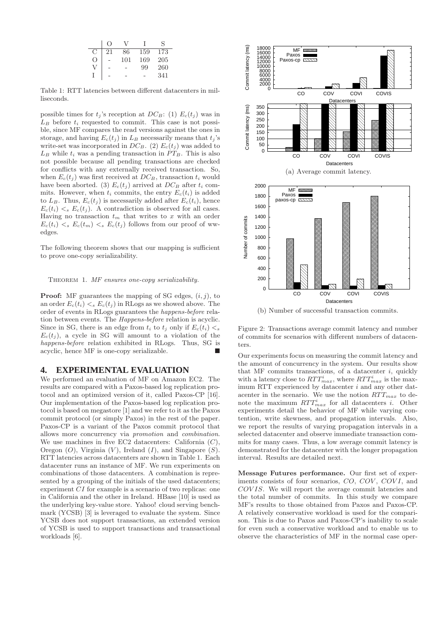|                  | $\left( \right)$ |     |     | S   |
|------------------|------------------|-----|-----|-----|
| С                | 21               | 86  | 159 | 173 |
| $\left( \right)$ |                  | 101 | 169 | 205 |
|                  |                  |     | 99  | 260 |
|                  |                  |     |     | 341 |
|                  |                  |     |     |     |

Table 1: RTT latencies between different datacenters in milliseconds.

possible times for  $t_i$ 's reception at  $DC_B$ : (1)  $E_c(t_i)$  was in  $L_B$  before  $t_i$  requested to commit. This case is not possible, since MF compares the read versions against the ones in storage, and having  $E_c(t_i)$  in  $L_B$  necessarily means that  $t_i$ 's write-set was incorporated in  $DC_B$ . (2)  $E_c(t_j)$  was added to  $L_B$  while  $t_i$  was a pending transaction in  $PT_B$ . This is also not possible because all pending transactions are checked for conflicts with any externally received transaction. So, when  $E_c(t_i)$  was first received at  $DC_B$ , transaction  $t_i$  would have been aborted. (3)  $E_c(t_j)$  arrived at  $DC_B$  after  $t_i$  commits. However, when  $t_i$  commits, the entry  $E_c(t_i)$  is added to  $L_B$ . Thus,  $E_c(t_j)$  is necessarily added after  $E_c(t_i)$ , hence  $E_c(t_i) \leq s E_c(t_j)$ . A contradiction is observed for all cases. Having no transaction  $t_m$  that writes to x with an order  $E_c(t_i) \leq s E_c(t_m) \leq s E_c(t_i)$  follows from our proof of wwedges.

The following theorem shows that our mapping is sufficient to prove one-copy serializability.

#### Theorem 1. *MF ensures one-copy serializability.*

**Proof:** MF guarantees the mapping of SG edges,  $(i, j)$ , to an order  $E_c(t_i) <_{s} E_c(t_i)$  in RLogs as we showed above. The order of events in RLogs guarantees the *happens-before* relation between events. The *Happens-before* relation is acyclic. Since in SG, there is an edge from  $t_i$  to  $t_j$  only if  $E_c(t_i) < s$  $E_c(t_i)$ , a cycle in SG will amount to a violation of the *happens-before* relation exhibited in RLogs. Thus, SG is acyclic, hence MF is one-copy serializable.

#### **4. EXPERIMENTAL EVALUATION**

We performed an evaluation of MF on Amazon EC2. The results are compared with a Paxos-based log replication protocol and an optimized version of it, called Paxos-CP [16]. Our implementation of the Paxos-based log replication protocol is based on megastore [1] and we refer to it as the Paxos commit protocol (or simply Paxos) in the rest of the paper. Paxos-CP is a variant of the Paxos commit protocol that allows more concurrency via *promotion* and *combination*. We use machines in five EC2 datacenters: California  $(C)$ , Oregon  $(O)$ , Virginia  $(V)$ , Ireland  $(I)$ , and Singapore  $(S)$ . RTT latencies across datacenters are shown in Table 1. Each datacenter runs an instance of MF. We run experiments on combinations of those datacenters. A combination is represented by a grouping of the initials of the used datacenters; experiment CI for example is a scenario of two replicas: one in California and the other in Ireland. HBase [10] is used as the underlying key-value store. Yahoo! cloud serving benchmark (YCSB) [3] is leveraged to evaluate the system. Since YCSB does not support transactions, an extended version of YCSB is used to support transactions and transactional workloads [6].



(b) Number of successful transaction commits.

Figure 2: Transactions average commit latency and number of commits for scenarios with different numbers of datacenters

Our experiments focus on measuring the commit latency and the amount of concurrency in the system. Our results show that MF commits transactions, of a datacenter  $i$ , quickly with a latency close to  $RTT_{max}^i$ , where  $RTT_{max}^i$  is the maximum RTT experienced by datacenter  $i$  and any other datacenter in the scenario. We use the notion  $RTT_{max}$  to denote the maximum  $RTT_{max}^i$  for all datacenters *i*. Other experiments detail the behavior of MF while varying contention, write skewness, and propagation intervals. Also, we report the results of varying propagation intervals in a selected datacenter and observe immediate transaction commits for many cases. Thus, a low average commit latency is demonstrated for the datacenter with the longer propagation interval. Results are detailed next.

Message Futures performance. Our first set of experiments consists of four scenarios, CO, COV, COVI, and COV IS. We will report the average commit latencies and the total number of commits. In this study we compare MF's results to those obtained from Paxos and Paxos-CP. A relatively conservative workload is used for the comparison. This is due to Paxos and Paxos-CP's inability to scale for even such a conservative workload and to enable us to observe the characteristics of MF in the normal case oper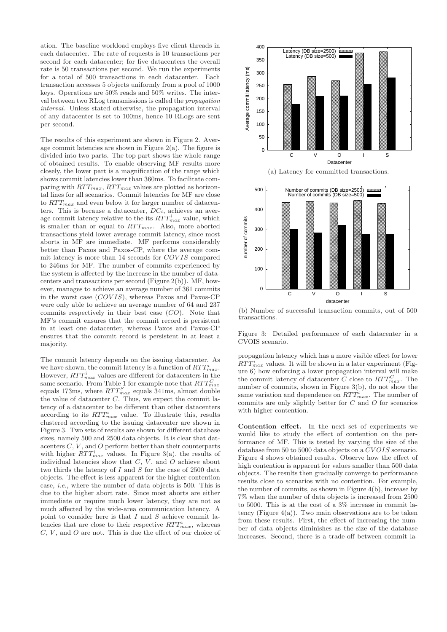ation. The baseline workload employs five client threads in each datacenter. The rate of requests is 10 transactions per second for each datacenter; for five datacenters the overall rate is 50 transactions per second. We run the experiments for a total of 500 transactions in each datacenter. Each transaction accesses 5 objects uniformly from a pool of 1000 keys. Operations are 50% reads and 50% writes. The interval between two RLog transmissions is called the *propagation interval*. Unless stated otherwise, the propagation interval of any datacenter is set to 100ms, hence 10 RLogs are sent per second.

The results of this experiment are shown in Figure 2. Average commit latencies are shown in Figure 2(a). The figure is divided into two parts. The top part shows the whole range of obtained results. To enable observing MF results more closely, the lower part is a magnification of the range which shows commit latencies lower than 360ms. To facilitate comparing with  $RTT_{max}$ ,  $RTT_{max}$  values are plotted as horizontal lines for all scenarios. Commit latencies for MF are close to  $RTT_{max}$  and even below it for larger number of datacenters. This is because a datacenter,  $DC_i$ , achieves an average commit latency relative to the its  $RTT_{max}^i$  value, which is smaller than or equal to  $RTT_{max}$ . Also, more aborted transactions yield lower average commit latency, since most aborts in MF are immediate. MF performs considerably better than Paxos and Paxos-CP, where the average commit latency is more than 14 seconds for COV IS compared to 246ms for MF. The number of commits experienced by the system is affected by the increase in the number of datacenters and transactions per second (Figure 2(b)). MF, however, manages to achieve an average number of 361 commits in the worst case  $(COVIS)$ , whereas Paxos and Paxos-CP were only able to achieve an average number of 64 and 237 commits respectively in their best case (CO). Note that MF's commit ensures that the commit record is persistent in at least one datacenter, whereas Paxos and Paxos-CP ensures that the commit record is persistent in at least a majority.

The commit latency depends on the issuing datacenter. As we have shown, the commit latency is a function of  $RTT_{max}^i$ . However,  $RTT_{max}^i$  values are different for datacenters in the same scenario. From Table 1 for example note that  $RTT_{max}^C$ same scenario. From Table 1 for example note that  $\hbar T T_{max}$ <br>equals 173ms, where  $RTT_{max}^S$  equals 341ms, almost double the value of datacenter C. Thus, we expect the commit latency of a datacenter to be different than other datacenters according to its  $RTT_{max}^i$  value. To illustrate this, results clustered according to the issuing datacenter are shown in Figure 3. Two sets of results are shown for different database sizes, namely 500 and 2500 data objects. It is clear that datacenters  $C, V$ , and  $O$  perform better than their counterparts with higher  $RTT_{max}^i$  values. In Figure 3(a), the results of individual latencies show that  $C, V$ , and  $O$  achieve about two thirds the latency of I and S for the case of 2500 data objects. The effect is less apparent for the higher contention case, *i.e.*, where the number of data objects is 500. This is due to the higher abort rate. Since most aborts are either immediate or require much lower latency, they are not as much affected by the wide-area communication latency. A point to consider here is that  $I$  and  $S$  achieve commit latencies that are close to their respective  $RTT_{max}^i$ , whereas  $C, V$ , and  $O$  are not. This is due the effect of our choice of



(b) Number of successful transaction commits, out of 500 transactions.

Figure 3: Detailed performance of each datacenter in a CVOIS scenario.

propagation latency which has a more visible effect for lower  $RTT_{max}^i$  values. It will be shown in a later experiment (Figure 6) how enforcing a lower propagation interval will make the commit latency of datacenter C close to  $RTT_{max}^C$ . The number of commits, shown in Figure 3(b), do not show the same variation and dependence on  $RTT_{max}^i$ . The number of commits are only slightly better for  $C$  and  $O$  for scenarios with higher contention.

Contention effect. In the next set of experiments we would like to study the effect of contention on the performance of MF. This is tested by varying the size of the database from 50 to 5000 data objects on a CV OIS scenario. Figure 4 shows obtained results. Observe how the effect of high contention is apparent for values smaller than 500 data objects. The results then gradually converge to performance results close to scenarios with no contention. For example, the number of commits, as shown in Figure 4(b), increase by 7% when the number of data objects is increased from 2500 to 5000. This is at the cost of a 3% increase in commit latency (Figure  $4(a)$ ). Two main observations are to be taken from these results. First, the effect of increasing the number of data objects diminishes as the size of the database increases. Second, there is a trade-off between commit la-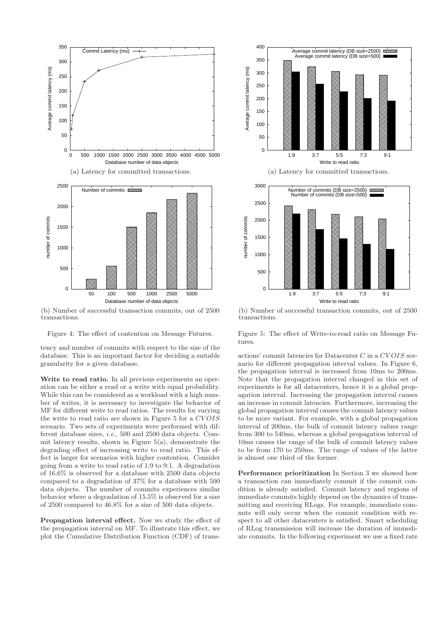

(b) Number of successful transaction commits, out of 2500 transactions.

Figure 4: The effect of contention on Message Futures.

tency and number of commits with respect to the size of the database. This is an important factor for deciding a suitable granularity for a given database.

Write to read ratio. In all previous experiments an operation can be either a read or a write with equal probability. While this can be considered as a workload with a high number of writes, it is necessary to investigate the behavior of MF for different write to read ratios. The results for varying the write to read ratio are shown in Figure 5 for a CVOIS scenario. Two sets of experiments were performed with different database sizes, *i.e.*, 500 and 2500 data objects. Commit latency results, shown in Figure 5(a), demonstrate the degrading effect of increasing write to read ratio. This effect is larger for scenarios with higher contention. Consider going from a write to read ratio of 1:9 to 9:1. A degradation of 16.6% is observed for a database with 2500 data objects compared to a degradation of 37% for a database with 500 data objects. The number of commits experiences similar behavior where a degradation of 15.5% is observed for a size of 2500 compared to 46.8% for a size of 500 data objects.

Propagation interval effect. Now we study the effect of the propagation interval on MF. To illustrate this effect, we plot the Cumulative Distribution Function (CDF) of trans-



(b) Number of successful transaction commits, out of 2500 transactions.

Figure 5: The effect of Write-to-read ratio on Message Futures.

actions' commit latencies for Datacenter  $C$  in a  $CVOIS$  scenario for different propagation interval values. In Figure 6, the propagation interval is increased from 10ms to 200ms. Note that the propagation interval changed in this set of experiments is for all datacenters, hence it is a global propagation interval. Increasing the propagation interval causes an increase in commit latencies. Furthermore, increasing the global propagation interval causes the commit latency values to be more variant. For example, with a global propagation interval of 200ms, the bulk of commit latency values range from 300 to 540ms, whereas a global propagation interval of 10ms causes the range of the bulk of commit latency values to be from 170 to 250ms. The range of values of the latter is almost one third of the former.

Performance prioritization In Section 3 we showed how a transaction can immediately commit if the commit condition is already satisfied. Commit latency and regions of immediate commits highly depend on the dynamics of transmitting and receiving RLogs. For example, immediate commits will only occur when the commit condition with respect to all other datacenters is satisfied. Smart scheduling of RLog transmission will increase the duration of immediate commits. In the following experiment we use a fixed rate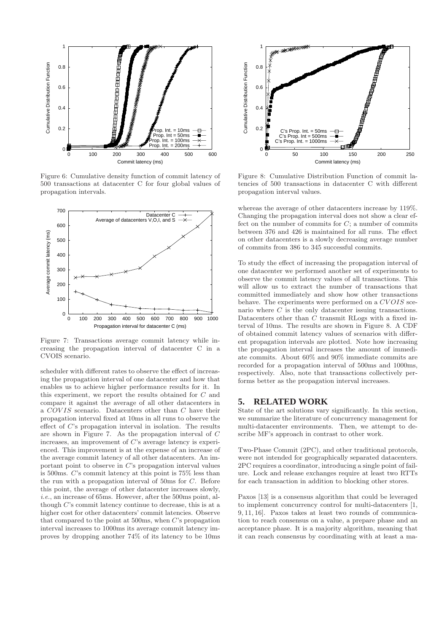

Figure 6: Cumulative density function of commit latency of 500 transactions at datacenter C for four global values of propagation intervals.



Figure 7: Transactions average commit latency while increasing the propagation interval of datacenter C in a CVOIS scenario.

scheduler with different rates to observe the effect of increasing the propagation interval of one datacenter and how that enables us to achieve higher performance results for it. In this experiment, we report the results obtained for C and compare it against the average of all other datacenters in a COVIS scenario. Datacenters other than C have their propagation interval fixed at 10ms in all runs to observe the effect of C's propagation interval in isolation. The results are shown in Figure 7. As the propagation interval of C increases, an improvement of C's average latency is experienced. This improvement is at the expense of an increase of the average commit latency of all other datacenters. An important point to observe in C's propagation interval values is 500ms. C's commit latency at this point is 75% less than the run with a propagation interval of 50ms for C. Before this point, the average of other datacenter increases slowly, *i.e.*, an increase of 65ms. However, after the 500ms point, although C's commit latency continue to decrease, this is at a higher cost for other datacenters' commit latencies. Observe that compared to the point at 500ms, when C's propagation interval increases to 1000ms its average commit latency improves by dropping another 74% of its latency to be 10ms



Figure 8: Cumulative Distribution Function of commit latencies of 500 transactions in datacenter C with different propagation interval values.

whereas the average of other datacenters increase by 119%. Changing the propagation interval does not show a clear effect on the number of commits for  $C$ ; a number of commits between 376 and 426 is maintained for all runs. The effect on other datacenters is a slowly decreasing average number of commits from 386 to 345 successful commits.

To study the effect of increasing the propagation interval of one datacenter we performed another set of experiments to observe the commit latency values of all transactions. This will allow us to extract the number of transactions that committed immediately and show how other transactions behave. The experiments were performed on a CVOIS scenario where  $C$  is the only datacenter issuing transactions. Datacenters other than C transmit RLogs with a fixed interval of 10ms. The results are shown in Figure 8. A CDF of obtained commit latency values of scenarios with different propagation intervals are plotted. Note how increasing the propagation interval increases the amount of immediate commits. About 60% and 90% immediate commits are recorded for a propagation interval of 500ms and 1000ms, respectively. Also, note that transactions collectively performs better as the propagation interval increases.

#### **5. RELATED WORK**

State of the art solutions vary significantly. In this section, we summarize the literature of concurrency management for multi-datacenter environments. Then, we attempt to describe MF's approach in contrast to other work.

Two-Phase Commit (2PC), and other traditional protocols, were not intended for geographically separated datacenters. 2PC requires a coordinator, introducing a single point of failure. Lock and release exchanges require at least two RTTs for each transaction in addition to blocking other stores.

Paxos [13] is a consensus algorithm that could be leveraged to implement concurrency control for multi-datacenters [1, 9, 11, 16]. Paxos takes at least two rounds of communication to reach consensus on a value, a prepare phase and an acceptance phase. It is a majority algorithm, meaning that it can reach consensus by coordinating with at least a ma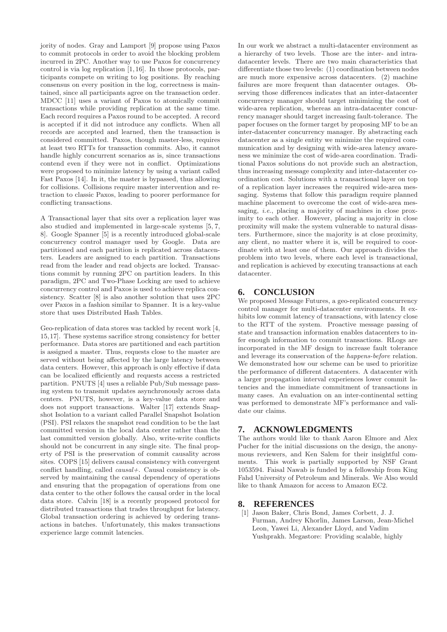jority of nodes. Gray and Lamport [9] propose using Paxos to commit protocols in order to avoid the blocking problem incurred in 2PC. Another way to use Paxos for concurrency control is via log replication [1, 16]. In those protocols, participants compete on writing to log positions. By reaching consensus on every position in the log, correctness is maintained, since all participants agree on the transaction order. MDCC [11] uses a variant of Paxos to atomically commit transactions while providing replication at the same time. Each record requires a Paxos round to be accepted. A record is accepted if it did not introduce any conflicts. When all records are accepted and learned, then the transaction is considered committed. Paxos, though master-less, requires at least two RTTs for transaction commits. Also, it cannot handle highly concurrent scenarios as is, since transactions contend even if they were not in conflict. Optimizations were proposed to minimize latency by using a variant called Fast Paxos [14]. In it, the master is bypassed, thus allowing for collisions. Collisions require master intervention and retraction to classic Paxos, leading to poorer performance for conflicting transactions.

A Transactional layer that sits over a replication layer was also studied and implemented in large-scale systems [5, 7, 8]. Google Spanner [5] is a recently introduced global-scale concurrency control manager used by Google. Data are partitioned and each partition is replicated across datacenters. Leaders are assigned to each partition. Transactions read from the leader and read objects are locked. Transactions commit by running 2PC on partition leaders. In this paradigm, 2PC and Two-Phase Locking are used to achieve concurrency control and Paxos is used to achieve replica consistency. Scatter [8] is also another solution that uses 2PC over Paxos in a fashion similar to Spanner. It is a key-value store that uses Distributed Hash Tables.

Geo-replication of data stores was tackled by recent work [4, 15,17]. These systems sacrifice strong consistency for better performance. Data stores are partitioned and each partition is assigned a master. Thus, requests close to the master are served without being affected by the large latency between data centers. However, this approach is only effective if data can be localized efficiently and requests access a restricted partition. PNUTS [4] uses a reliable Pub/Sub message passing system to transmit updates asynchronously across data centers. PNUTS, however, is a key-value data store and does not support transactions. Walter [17] extends Snapshot Isolation to a variant called Parallel Snapshot Isolation (PSI). PSI relaxes the snapshot read condition to be the last committed version in the local data center rather than the last committed version globally. Also, write-write conflicts should not be concurrent in any single site. The final property of PSI is the preservation of commit causality across sites. COPS [15] delivers causal consistency with convergent conflict handling, called *causal+*. Causal consistency is observed by maintaining the causal dependency of operations and ensuring that the propagation of operations from one data center to the other follows the causal order in the local data store. Calvin [18] is a recently proposed protocol for distributed transactions that trades throughput for latency. Global transaction ordering is achieved by ordering transactions in batches. Unfortunately, this makes transactions experience large commit latencies.

In our work we abstract a multi-datacenter environment as a hierarchy of two levels. Those are the inter- and intradatacenter levels. There are two main characteristics that differentiate those two levels: (1) coordination between nodes are much more expensive across datacenters. (2) machine failures are more frequent than datacenter outages. Observing those differences indicates that an inter-datacenter concurrency manager should target minimizing the cost of wide-area replication, whereas an intra-datacenter concurrency manager should target increasing fault-tolerance. The paper focuses on the former target by proposing MF to be an inter-datacenter concurrency manager. By abstracting each datacenter as a single entity we minimize the required communication and by designing with wide-area latency awareness we minimize the cost of wide-area coordination. Traditional Paxos solutions do not provide such an abstraction, thus increasing message complexity and inter-datacenter coordination cost. Solutions with a transactional layer on top of a replication layer increases the required wide-area messaging. Systems that follow this paradigm require planned machine placement to overcome the cost of wide-area messaging, *i.e.*, placing a majority of machines in close proximity to each other. However, placing a majority in close proximity will make the system vulnerable to natural disasters. Furthermore, since the majority is at close proximity, any client, no matter where it is, will be required to coordinate with at least one of them. Our approach divides the problem into two levels, where each level is transactional, and replication is achieved by executing transactions at each datacenter.

# **6. CONCLUSION**

We proposed Message Futures, a geo-replicated concurrency control manager for multi-datacenter environments. It exhibits low commit latency of transactions, with latency close to the RTT of the system. Proactive message passing of state and transaction information enables datacenters to infer enough information to commit transactions. RLogs are incorporated in the MF design to increase fault tolerance and leverage its conservation of the *happens-before* relation. We demonstrated how our scheme can be used to prioritize the performance of different datacenters. A datacenter with a larger propagation interval experiences lower commit latencies and the immediate commitment of transactions in many cases. An evaluation on an inter-continental setting was performed to demonstrate MF's performance and validate our claims.

## **7. ACKNOWLEDGMENTS**

The authors would like to thank Aaron Elmore and Alex Pucher for the initial discussions on the design, the anonymous reviewers, and Ken Salem for their insightful comments. This work is partially supported by NSF Grant 1053594. Faisal Nawab is funded by a fellowship from King Fahd University of Petroleum and Minerals. We Also would like to thank Amazon for access to Amazon EC2.

# **8. REFERENCES**

[1] Jason Baker, Chris Bond, James Corbett, J. J. Furman, Andrey Khorlin, James Larson, Jean-Michel Leon, Yawei Li, Alexander Lloyd, and Vadim Yushprakh. Megastore: Providing scalable, highly